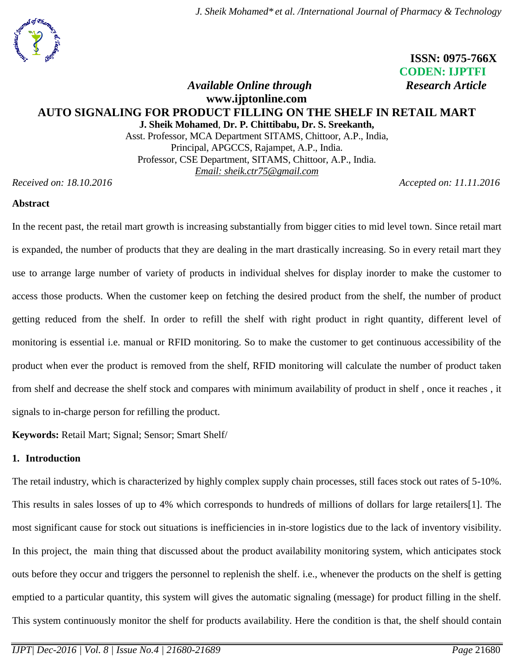*J. Sheik Mohamed\* et al. /International Journal of Pharmacy & Technology*

# **ISSN: 0975-766X CODEN: IJPTFI** *Available Online through* Research Article

## **www.ijptonline.com AUTO SIGNALING FOR PRODUCT FILLING ON THE SHELF IN RETAIL MART J. Sheik Mohamed**, **Dr. P. Chittibabu, Dr. S. Sreekanth,**

Asst. Professor, MCA Department SITAMS, Chittoor, A.P., India, Principal, APGCCS, Rajampet, A.P., India. Professor, CSE Department, SITAMS, Chittoor, A.P., India. *Email: sheik.ctr75@gmail.com*

*Received on: 18.10.2016 Accepted on: 11.11.2016*

### **Abstract**

In the recent past, the retail mart growth is increasing substantially from bigger cities to mid level town. Since retail mart is expanded, the number of products that they are dealing in the mart drastically increasing. So in every retail mart they use to arrange large number of variety of products in individual shelves for display inorder to make the customer to access those products. When the customer keep on fetching the desired product from the shelf, the number of product getting reduced from the shelf. In order to refill the shelf with right product in right quantity, different level of monitoring is essential i.e. manual or RFID monitoring. So to make the customer to get continuous accessibility of the product when ever the product is removed from the shelf, RFID monitoring will calculate the number of product taken from shelf and decrease the shelf stock and compares with minimum availability of product in shelf , once it reaches , it signals to in-charge person for refilling the product.

**Keywords:** Retail Mart; Signal; Sensor; Smart Shelf/

### **1. Introduction**

The retail industry, which is characterized by highly complex supply chain processes, still faces stock out rates of 5-10%. This results in sales losses of up to 4% which corresponds to hundreds of millions of dollars for large retailers[1]. The most significant cause for stock out situations is inefficiencies in in-store logistics due to the lack of inventory visibility. In this project, the main thing that discussed about the product availability monitoring system, which anticipates stock outs before they occur and triggers the personnel to replenish the shelf. i.e., whenever the products on the shelf is getting emptied to a particular quantity, this system will gives the automatic signaling (message) for product filling in the shelf. This system continuously monitor the shelf for products availability. Here the condition is that, the shelf should contain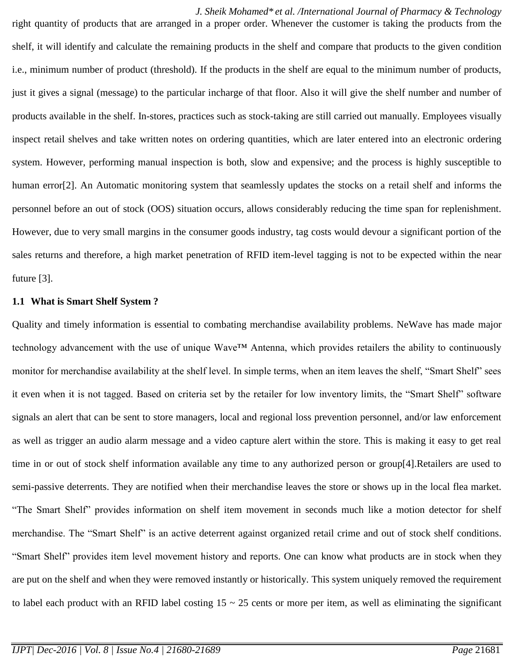*J. Sheik Mohamed\* et al. /International Journal of Pharmacy & Technology* right quantity of products that are arranged in a proper order. Whenever the customer is taking the products from the shelf, it will identify and calculate the remaining products in the shelf and compare that products to the given condition i.e., minimum number of product (threshold). If the products in the shelf are equal to the minimum number of products, just it gives a signal (message) to the particular incharge of that floor. Also it will give the shelf number and number of products available in the shelf. In-stores, practices such as stock-taking are still carried out manually. Employees visually inspect retail shelves and take written notes on ordering quantities, which are later entered into an electronic ordering system. However, performing manual inspection is both, slow and expensive; and the process is highly susceptible to human error<sup>[2]</sup>. An Automatic monitoring system that seamlessly updates the stocks on a retail shelf and informs the personnel before an out of stock (OOS) situation occurs, allows considerably reducing the time span for replenishment. However, due to very small margins in the consumer goods industry, tag costs would devour a significant portion of the sales returns and therefore, a high market penetration of RFID item-level tagging is not to be expected within the near future [3].

#### **1.1 What is Smart Shelf System ?**

Quality and timely information is essential to combating merchandise availability problems. NeWave has made major technology advancement with the use of unique Wave™ Antenna, which provides retailers the ability to continuously monitor for merchandise availability at the shelf level. In simple terms, when an item leaves the shelf, "Smart Shelf" sees it even when it is not tagged. Based on criteria set by the retailer for low inventory limits, the "Smart Shelf" software signals an alert that can be sent to store managers, local and regional loss prevention personnel, and/or law enforcement as well as trigger an audio alarm message and a video capture alert within the store. This is making it easy to get real time in or out of stock shelf information available any time to any authorized person or group[4].Retailers are used to semi-passive deterrents. They are notified when their merchandise leaves the store or shows up in the local flea market. "The Smart Shelf" provides information on shelf item movement in seconds much like a motion detector for shelf merchandise. The "Smart Shelf" is an active deterrent against organized retail crime and out of stock shelf conditions. "Smart Shelf" provides item level movement history and reports. One can know what products are in stock when they are put on the shelf and when they were removed instantly or historically. This system uniquely removed the requirement to label each product with an RFID label costing  $15 \sim 25$  cents or more per item, as well as eliminating the significant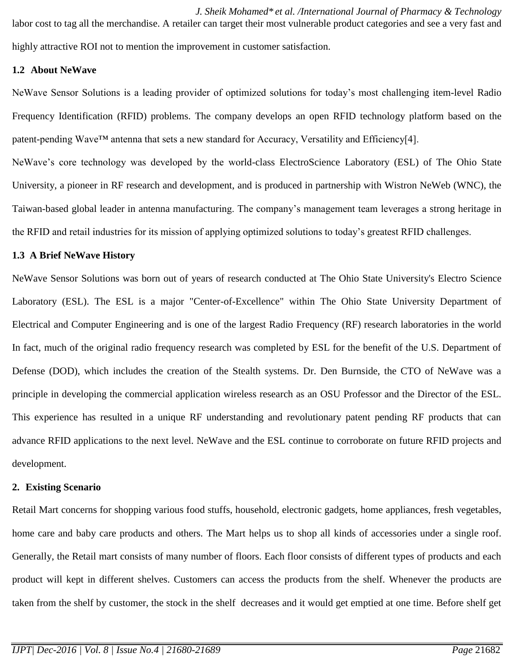*J. Sheik Mohamed\* et al. /International Journal of Pharmacy & Technology* labor cost to tag all the merchandise. A retailer can target their most vulnerable product categories and see a very fast and highly attractive ROI not to mention the improvement in customer satisfaction.

### **1.2 About NeWave**

NeWave Sensor Solutions is a leading provider of optimized solutions for today's most challenging item-level Radio Frequency Identification (RFID) problems. The company develops an open RFID technology platform based on the patent-pending Wave™ antenna that sets a new standard for Accuracy, Versatility and Efficiency[4].

NeWave's core technology was developed by the world-class ElectroScience Laboratory (ESL) of The Ohio State University, a pioneer in RF research and development, and is produced in partnership with Wistron NeWeb (WNC), the Taiwan-based global leader in antenna manufacturing. The company's management team leverages a strong heritage in the RFID and retail industries for its mission of applying optimized solutions to today's greatest RFID challenges.

#### **1.3 A Brief NeWave History**

NeWave Sensor Solutions was born out of years of research conducted at The Ohio State University's Electro Science Laboratory (ESL). The ESL is a major "Center-of-Excellence" within The Ohio State University Department of Electrical and Computer Engineering and is one of the largest Radio Frequency (RF) research laboratories in the world In fact, much of the original radio frequency research was completed by ESL for the benefit of the U.S. Department of Defense (DOD), which includes the creation of the Stealth systems. Dr. Den Burnside, the CTO of NeWave was a principle in developing the commercial application wireless research as an OSU Professor and the Director of the ESL. This experience has resulted in a unique RF understanding and revolutionary patent pending RF products that can advance RFID applications to the next level. NeWave and the ESL continue to corroborate on future RFID projects and development.

#### **2. Existing Scenario**

Retail Mart concerns for shopping various food stuffs, household, electronic gadgets, home appliances, fresh vegetables, home care and baby care products and others. The Mart helps us to shop all kinds of accessories under a single roof. Generally, the Retail mart consists of many number of floors. Each floor consists of different types of products and each product will kept in different shelves. Customers can access the products from the shelf. Whenever the products are taken from the shelf by customer, the stock in the shelf decreases and it would get emptied at one time. Before shelf get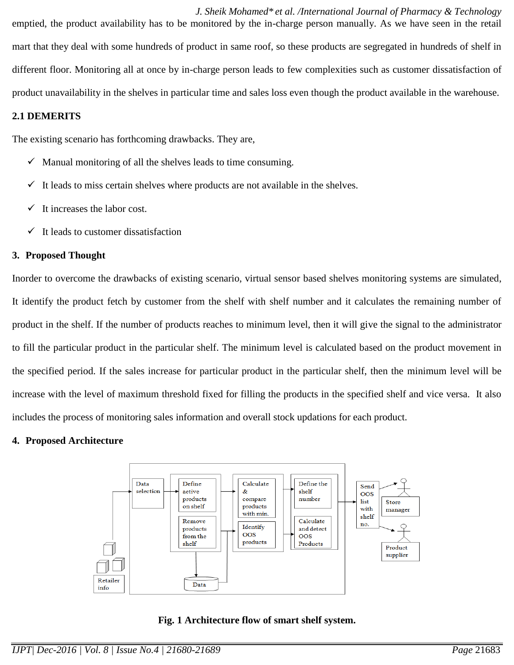*J. Sheik Mohamed\* et al. /International Journal of Pharmacy & Technology* emptied, the product availability has to be monitored by the in-charge person manually. As we have seen in the retail mart that they deal with some hundreds of product in same roof, so these products are segregated in hundreds of shelf in different floor. Monitoring all at once by in-charge person leads to few complexities such as customer dissatisfaction of product unavailability in the shelves in particular time and sales loss even though the product available in the warehouse.

### **2.1 DEMERITS**

The existing scenario has forthcoming drawbacks. They are,

- $\checkmark$  Manual monitoring of all the shelves leads to time consuming.
- $\checkmark$  It leads to miss certain shelves where products are not available in the shelves.
- $\checkmark$  It increases the labor cost.
- $\checkmark$  It leads to customer dissatisfaction

### **3. Proposed Thought**

Inorder to overcome the drawbacks of existing scenario, virtual sensor based shelves monitoring systems are simulated, It identify the product fetch by customer from the shelf with shelf number and it calculates the remaining number of product in the shelf. If the number of products reaches to minimum level, then it will give the signal to the administrator to fill the particular product in the particular shelf. The minimum level is calculated based on the product movement in the specified period. If the sales increase for particular product in the particular shelf, then the minimum level will be increase with the level of maximum threshold fixed for filling the products in the specified shelf and vice versa. It also includes the process of monitoring sales information and overall stock updations for each product.

## **4. Proposed Architecture**



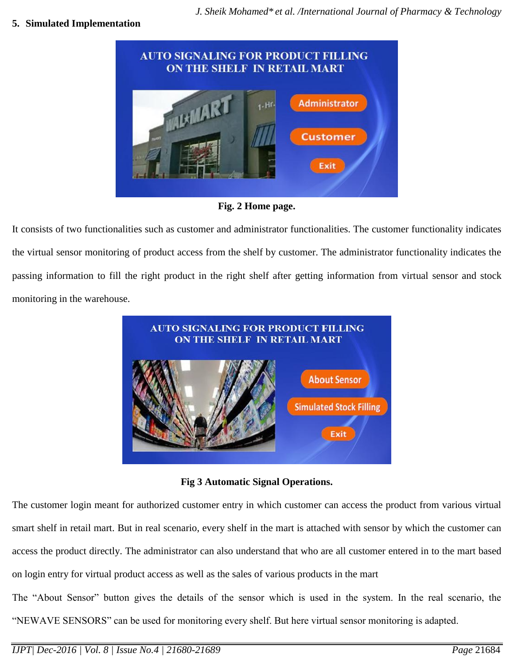### **5. Simulated Implementation**



**Fig. 2 Home page.**

It consists of two functionalities such as customer and administrator functionalities. The customer functionality indicates the virtual sensor monitoring of product access from the shelf by customer. The administrator functionality indicates the passing information to fill the right product in the right shelf after getting information from virtual sensor and stock monitoring in the warehouse.



**Fig 3 Automatic Signal Operations.**

The customer login meant for authorized customer entry in which customer can access the product from various virtual smart shelf in retail mart. But in real scenario, every shelf in the mart is attached with sensor by which the customer can access the product directly. The administrator can also understand that who are all customer entered in to the mart based on login entry for virtual product access as well as the sales of various products in the mart

The "About Sensor" button gives the details of the sensor which is used in the system. In the real scenario, the "NEWAVE SENSORS" can be used for monitoring every shelf. But here virtual sensor monitoring is adapted.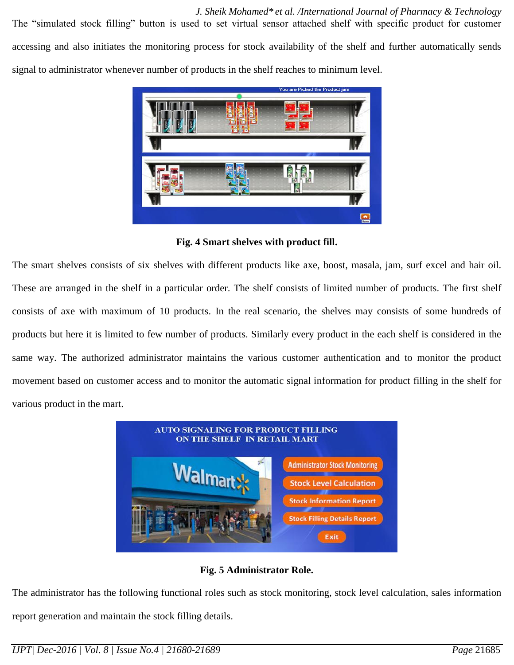*J. Sheik Mohamed\* et al. /International Journal of Pharmacy & Technology* The "simulated stock filling" button is used to set virtual sensor attached shelf with specific product for customer accessing and also initiates the monitoring process for stock availability of the shelf and further automatically sends signal to administrator whenever number of products in the shelf reaches to minimum level.



**Fig. 4 Smart shelves with product fill.**

The smart shelves consists of six shelves with different products like axe, boost, masala, jam, surf excel and hair oil. These are arranged in the shelf in a particular order. The shelf consists of limited number of products. The first shelf consists of axe with maximum of 10 products. In the real scenario, the shelves may consists of some hundreds of products but here it is limited to few number of products. Similarly every product in the each shelf is considered in the same way. The authorized administrator maintains the various customer authentication and to monitor the product movement based on customer access and to monitor the automatic signal information for product filling in the shelf for various product in the mart.



**Fig. 5 Administrator Role.**

The administrator has the following functional roles such as stock monitoring, stock level calculation, sales information report generation and maintain the stock filling details.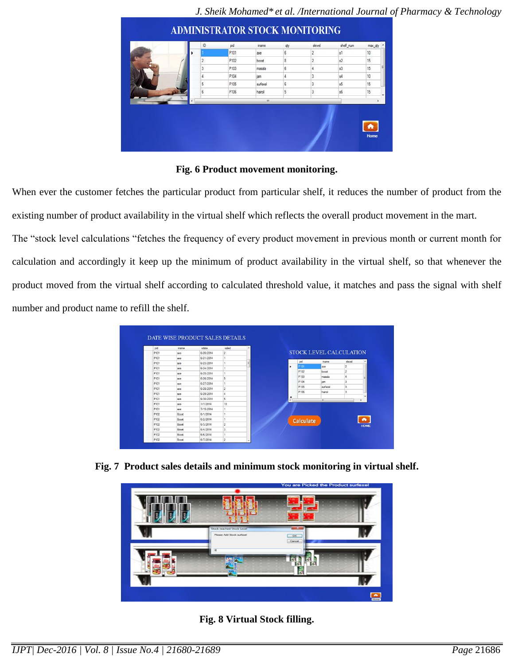| P101<br>s<br>2<br>s1<br>10<br>axe<br>15<br>P102<br>8<br>$\overline{\mathbf{c}}$<br>s2<br>$\overline{2}$<br>boost<br>15<br>P103<br>3<br>6<br>s3<br>4<br>masala<br>P104<br>10<br>3<br>s4<br>4<br>iam<br>3<br>5<br>P105<br>6<br>15<br>s5<br>surfexel<br>3<br>15<br>6<br>5<br>s6<br>P106<br>hairoil<br>л | ID | pid | iname | dy | slevel | shell_num | max_dty |  |
|------------------------------------------------------------------------------------------------------------------------------------------------------------------------------------------------------------------------------------------------------------------------------------------------------|----|-----|-------|----|--------|-----------|---------|--|
|                                                                                                                                                                                                                                                                                                      |    |     |       |    |        |           |         |  |
|                                                                                                                                                                                                                                                                                                      |    |     |       |    |        |           |         |  |
|                                                                                                                                                                                                                                                                                                      |    |     |       |    |        |           |         |  |
|                                                                                                                                                                                                                                                                                                      |    |     |       |    |        |           |         |  |
|                                                                                                                                                                                                                                                                                                      |    |     |       |    |        |           |         |  |
|                                                                                                                                                                                                                                                                                                      |    |     |       |    |        |           |         |  |
|                                                                                                                                                                                                                                                                                                      |    |     |       |    |        |           |         |  |
|                                                                                                                                                                                                                                                                                                      |    |     |       |    |        |           |         |  |

### **Fig. 6 Product movement monitoring.**

When ever the customer fetches the particular product from particular shelf, it reduces the number of product from the existing number of product availability in the virtual shelf which reflects the overall product movement in the mart.

The "stock level calculations "fetches the frequency of every product movement in previous month or current month for calculation and accordingly it keep up the minimum of product availability in the virtual shelf, so that whenever the product moved from the virtual shelf according to calculated threshold value, it matches and pass the signal with shelf number and product name to refill the shelf.

| pid              | iname.       | edate     | ealed          |               |                  |                                |                |             |
|------------------|--------------|-----------|----------------|---------------|------------------|--------------------------------|----------------|-------------|
| P <sub>101</sub> | zoon         | 6/20/2014 | $\overline{2}$ |               |                  | <b>STOCK LEVEL CALCULATION</b> |                |             |
| P101             | axe          | 6/21/2014 | Ŧ.             |               |                  |                                |                |             |
| P <sub>101</sub> | axe          | 6/23/2014 | 1              |               | pid              | iname                          | slevel         |             |
| P101             | axe          | 6/24/2014 | 1              | ٠             | P101             | <b>axe</b>                     | Þ              |             |
| P101             | zone         | 6/25/2014 | ١.             |               | P102             | boost                          | $\overline{c}$ |             |
| P101             | zone         | 6/26/2014 | 5              |               | P103             | masala                         | A              |             |
| P101             | axe          | 6/27/2014 | ٠.             |               | P104             | jam                            | з              |             |
| P <sub>101</sub> | axe          | 6/28/2014 | $\overline{2}$ |               | P105             | surfexel                       | з              |             |
| P101             | axe          | 6/29/2014 | $\Delta$       |               | P106             | harol                          | Þ              |             |
| P101             | zxe          | 6/30/2014 | 5              | $\ddot{\ast}$ |                  | m.                             |                |             |
| P101             | <b>zoon</b>  | 7/7/2014  | 10             |               |                  |                                |                |             |
| P101             | <b>ZOOR</b>  | 7/15/2014 |                |               |                  |                                |                |             |
| P102             | Boost        | 6/1/2014  | 1              |               |                  |                                |                |             |
| P102             | Boost        | 6/2/2014  | 1              |               |                  |                                |                |             |
| P102             | Bonst        | 6/3/2014  | $\overline{2}$ |               | <b>Calculate</b> |                                |                | <b>HOME</b> |
| P102             | <b>Boost</b> | 6/4/2014  | 3              |               |                  |                                |                |             |
| P102             | Roost        | 6/6/2014  | 1              |               |                  |                                |                |             |
| P102             | Boost        | 6/7/2014  | $\overline{2}$ |               |                  |                                |                |             |

**Fig. 7 Product sales details and minimum stock monitoring in virtual shelf.**

|                                                        | You are Picked the Product surfexel |  |
|--------------------------------------------------------|-------------------------------------|--|
|                                                        |                                     |  |
| Stock reached Stock Level<br>Please Add Stock surfaust | O <sub>2</sub><br>Cancel            |  |
| $\blacksquare$                                         |                                     |  |
|                                                        |                                     |  |

**Fig. 8 Virtual Stock filling.**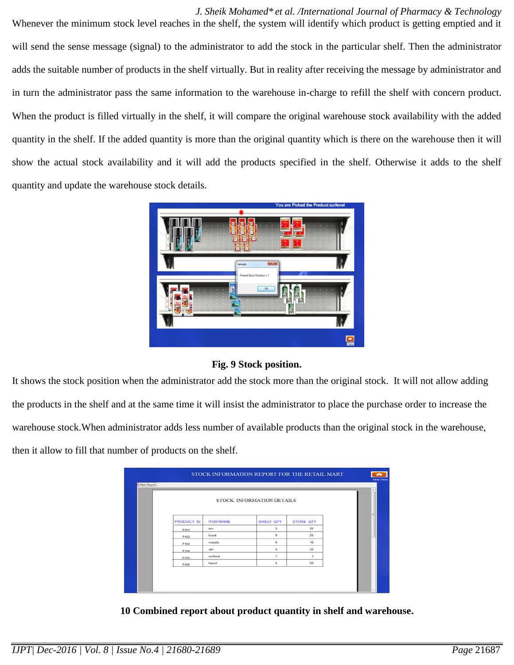*J. Sheik Mohamed\* et al. /International Journal of Pharmacy & Technology* Whenever the minimum stock level reaches in the shelf, the system will identify which product is getting emptied and it will send the sense message (signal) to the administrator to add the stock in the particular shelf. Then the administrator adds the suitable number of products in the shelf virtually. But in reality after receiving the message by administrator and in turn the administrator pass the same information to the warehouse in-charge to refill the shelf with concern product. When the product is filled virtually in the shelf, it will compare the original warehouse stock availability with the added quantity in the shelf. If the added quantity is more than the original quantity which is there on the warehouse then it will show the actual stock availability and it will add the products specified in the shelf. Otherwise it adds to the shelf quantity and update the warehouse stock details.



**Fig. 9 Stock position.**

It shows the stock position when the administrator add the stock more than the original stock. It will not allow adding the products in the shelf and at the same time it will insist the administrator to place the purchase order to increase the warehouse stock.When administrator adds less number of available products than the original stock in the warehouse, then it allow to fill that number of products on the shelf.

|                   |                  |                           |                  | ۰ |
|-------------------|------------------|---------------------------|------------------|---|
|                   |                  | STOCK INFORMATION DETAILS |                  |   |
| <b>PRODUCT ID</b> | <b>ITEM NAME</b> | SHELF QTY                 | <b>STORE QTY</b> |   |
| P101              | axe              | 5                         | 26               |   |
| P102              | boost            | 8                         | 25               |   |
| P103              | masala           | 6                         | 16               |   |
| P104              | jam              | 4                         | 28               |   |
| P105              | surfexel         | $\overline{7}$            | з                |   |
| P106              | hairoil          | 5                         | 50               |   |

 **10 Combined report about product quantity in shelf and warehouse.**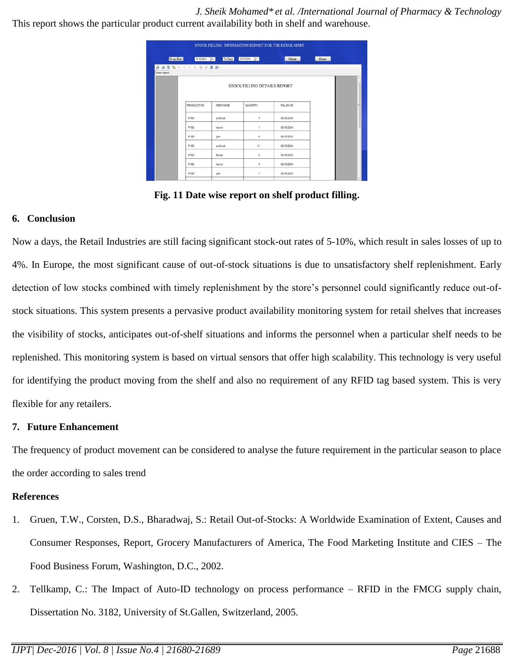*J. Sheik Mohamed\* et al. /International Journal of Pharmacy & Technology* This report shows the particular product current availability both in shelf and warehouse.

| From Date   | 6/10/2014 2                 | To Date   | 6/15/2014 日*                 | Submit           | Home |   |
|-------------|-----------------------------|-----------|------------------------------|------------------|------|---|
| Main Report | <b>BOCH X 4 3 8 8 8 8 .</b> |           |                              |                  |      |   |
|             |                             |           | STOCK FILLING DETAILS REPORT |                  |      | ٠ |
|             | PRODUCCT ID                 | ITEM NAME | QUANTITY                     | <b>FILL DATE</b> |      |   |
|             | P105                        | surfexel  | 5.                           | 06/10/2014       |      |   |
|             | P106                        | hairoil   | ×                            | 06/12/2014       |      |   |
|             | P104                        | jam       | 6                            | 06/12/2014       |      |   |
|             | P105                        | surfexel  | 11                           | 06/13/2014       |      |   |
|             | P102                        | Boost     | 6                            | 06/13/2014       |      |   |
|             | P106                        | hairoil   | ×.<br>9                      | 06/13/2014       |      |   |
|             | P104                        | jam       | $\overline{7}$               | 06/14/2014       |      |   |

**Fig. 11 Date wise report on shelf product filling.**

#### **6. Conclusion**

Now a days, the Retail Industries are still facing significant stock-out rates of 5-10%, which result in sales losses of up to 4%. In Europe, the most significant cause of out-of-stock situations is due to unsatisfactory shelf replenishment. Early detection of low stocks combined with timely replenishment by the store's personnel could significantly reduce out-ofstock situations. This system presents a pervasive product availability monitoring system for retail shelves that increases the visibility of stocks, anticipates out-of-shelf situations and informs the personnel when a particular shelf needs to be replenished. This monitoring system is based on virtual sensors that offer high scalability. This technology is very useful for identifying the product moving from the shelf and also no requirement of any RFID tag based system. This is very flexible for any retailers.

#### **7. Future Enhancement**

The frequency of product movement can be considered to analyse the future requirement in the particular season to place the order according to sales trend

#### **References**

- 1. Gruen, T.W., Corsten, D.S., Bharadwaj, S.: Retail Out-of-Stocks: A Worldwide Examination of Extent, Causes and Consumer Responses, Report, Grocery Manufacturers of America, The Food Marketing Institute and CIES – The Food Business Forum, Washington, D.C., 2002.
- 2. Tellkamp, C.: The Impact of Auto-ID technology on process performance RFID in the FMCG supply chain, Dissertation No. 3182, University of St.Gallen, Switzerland, 2005.